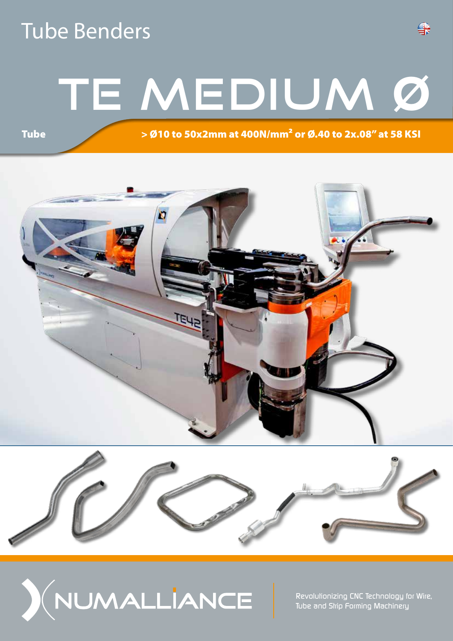### Tube Benders

**Tube** 

# TE MEDIUM Ø

> Ø10 to 50x2mm at 400N/mm² or Ø.40 to 2x.08" at 58 KSI

육







*Revolutionizing CNC Technology for Wire, Tube and Strip Forming Machinery*